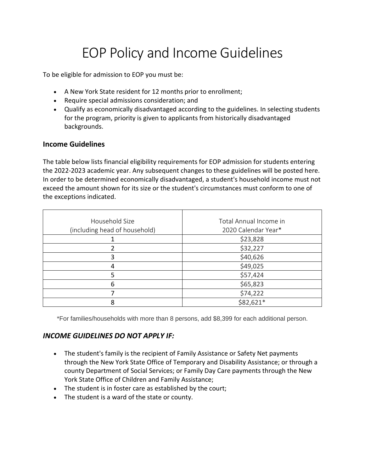## EOP Policy and Income Guidelines

To be eligible for admission to EOP you must be:

- A New York State resident for 12 months prior to enrollment;
- Require special admissions consideration; and
- Qualify as economically disadvantaged according to the guidelines. In selecting students for the program, priority is given to applicants from historically disadvantaged backgrounds.

## **Income Guidelines**

The table below lists financial eligibility requirements for EOP admission for students entering the 2022-2023 academic year. Any subsequent changes to these guidelines will be posted here. In order to be determined economically disadvantaged, a student's household income must not exceed the amount shown for its size or the student's circumstances must conform to one of the exceptions indicated.

| Household Size                | Total Annual Income in |
|-------------------------------|------------------------|
| (including head of household) | 2020 Calendar Year*    |
|                               | \$23,828               |
|                               | \$32,227               |
| 3                             | \$40,626               |
| 4                             | \$49,025               |
| 5                             | \$57,424               |
| 6                             | \$65,823               |
|                               | \$74,222               |
| 8                             | \$82,621*              |

\*For families/households with more than 8 persons, add \$8,399 for each additional person.

## *INCOME GUIDELINES DO NOT APPLY IF:*

- The student's family is the recipient of Family Assistance or Safety Net payments through the New York State Office of Temporary and Disability Assistance; or through a county Department of Social Services; or Family Day Care payments through the New York State Office of Children and Family Assistance;
- The student is in foster care as established by the court;
- The student is a ward of the state or county.